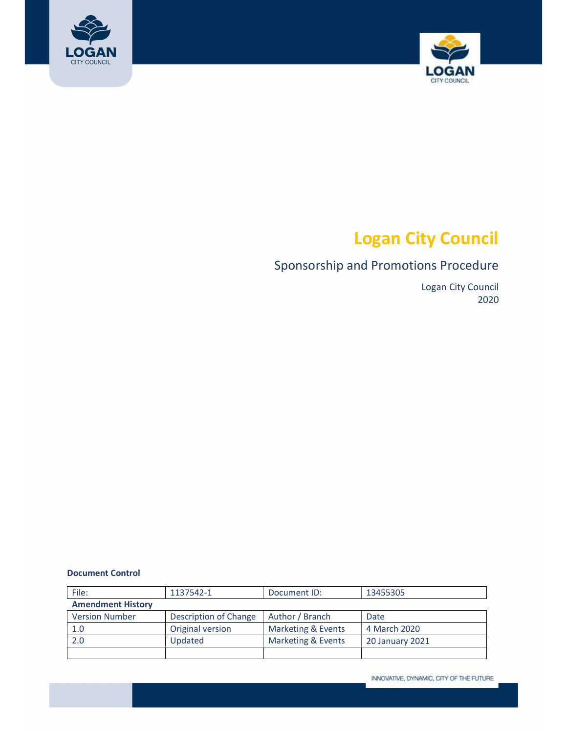



# Logan City Council

# Sponsorship and Promotions Procedure

 Logan City Council 2020

#### Document Control

| File:                    | 1137542-1             | Document ID:       | 13455305               |
|--------------------------|-----------------------|--------------------|------------------------|
| <b>Amendment History</b> |                       |                    |                        |
| <b>Version Number</b>    | Description of Change | Author / Branch    | Date                   |
| 1.0                      | Original version      | Marketing & Events | 4 March 2020           |
| 2.0                      | Updated               | Marketing & Events | <b>20 January 2021</b> |
|                          |                       |                    |                        |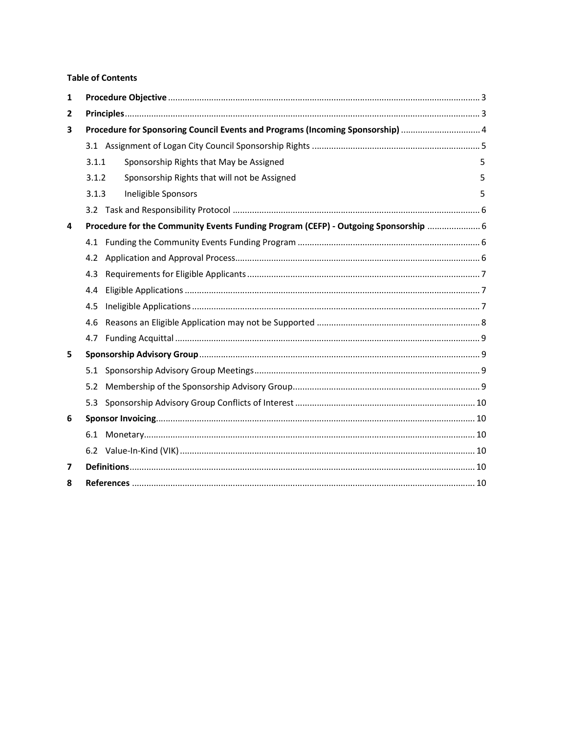#### **Table of Contents**

| $\mathbf 1$    |                                                                             |                                                                                     |   |  |  |
|----------------|-----------------------------------------------------------------------------|-------------------------------------------------------------------------------------|---|--|--|
| $\overline{2}$ |                                                                             |                                                                                     |   |  |  |
| 3              | Procedure for Sponsoring Council Events and Programs (Incoming Sponsorship) |                                                                                     |   |  |  |
|                |                                                                             |                                                                                     |   |  |  |
|                | 3.1.1                                                                       | Sponsorship Rights that May be Assigned                                             | 5 |  |  |
|                | 3.1.2                                                                       | Sponsorship Rights that will not be Assigned                                        | 5 |  |  |
|                | 3.1.3                                                                       | Ineligible Sponsors                                                                 | 5 |  |  |
|                |                                                                             |                                                                                     |   |  |  |
| 4              |                                                                             | Procedure for the Community Events Funding Program (CEFP) - Outgoing Sponsorship  6 |   |  |  |
|                |                                                                             |                                                                                     |   |  |  |
|                | 4.2                                                                         |                                                                                     |   |  |  |
|                | 4.3                                                                         |                                                                                     |   |  |  |
|                | 4.4                                                                         |                                                                                     |   |  |  |
|                | 4.5                                                                         |                                                                                     |   |  |  |
|                | 4.6                                                                         |                                                                                     |   |  |  |
|                | 4.7                                                                         |                                                                                     |   |  |  |
| 5              |                                                                             |                                                                                     |   |  |  |
|                |                                                                             |                                                                                     |   |  |  |
|                | 5.2                                                                         |                                                                                     |   |  |  |
|                | 5.3                                                                         |                                                                                     |   |  |  |
| 6              |                                                                             |                                                                                     |   |  |  |
|                |                                                                             |                                                                                     |   |  |  |
|                |                                                                             |                                                                                     |   |  |  |
| $\overline{7}$ |                                                                             |                                                                                     |   |  |  |
| 8              |                                                                             |                                                                                     |   |  |  |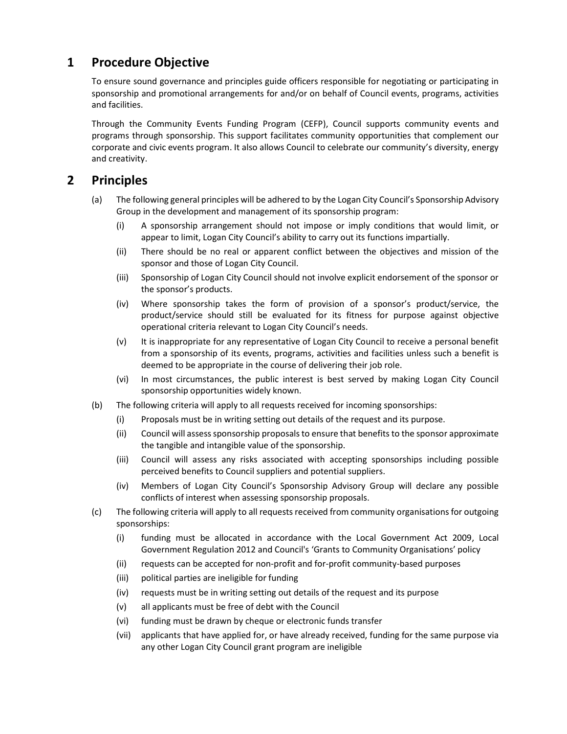# <span id="page-2-0"></span>1 Procedure Objective

 To ensure sound governance and principles guide officers responsible for negotiating or participating in sponsorship and promotional arrangements for and/or on behalf of Council events, programs, activities and facilities.

 Through the Community Events Funding Program (CEFP), Council supports community events and programs through sponsorship. This support facilitates community opportunities that complement our corporate and civic events program. It also allows Council to celebrate our community's diversity, energy and creativity.

# 2 Principles

- (a) The following general principles will be adhered to by the Logan City Council's Sponsorship Advisory Group in the development and management of its sponsorship program:
	- (i) A sponsorship arrangement should not impose or imply conditions that would limit, or appear to limit, Logan City Council's ability to carry out its functions impartially.
	- (ii) There should be no real or apparent conflict between the objectives and mission of the sponsor and those of Logan City Council.
	- (iii) Sponsorship of Logan City Council should not involve explicit endorsement of the sponsor or the sponsor's products.
	- (iv) Where sponsorship takes the form of provision of a sponsor's product/service, the product/service should still be evaluated for its fitness for purpose against objective operational criteria relevant to Logan City Council's needs.
	- (v) It is inappropriate for any representative of Logan City Council to receive a personal benefit from a sponsorship of its events, programs, activities and facilities unless such a benefit is deemed to be appropriate in the course of delivering their job role.
	- (vi) In most circumstances, the public interest is best served by making Logan City Council sponsorship opportunities widely known.
- (b) The following criteria will apply to all requests received for incoming sponsorships:
	- (i) Proposals must be in writing setting out details of the request and its purpose.
	- (ii) Council will assess sponsorship proposals to ensure that benefits to the sponsor approximate the tangible and intangible value of the sponsorship.
	- (iii) Council will assess any risks associated with accepting sponsorships including possible perceived benefits to Council suppliers and potential suppliers.
	- (iv) Members of Logan City Council's Sponsorship Advisory Group will declare any possible conflicts of interest when assessing sponsorship proposals.
- (c) The following criteria will apply to all requests received from community organisations for outgoing sponsorships:
	- (i) funding must be allocated in accordance with the Local Government Act 2009, Local Government Regulation 2012 and Council's 'Grants to Community Organisations' policy
	- (ii) requests can be accepted for non-profit and for-profit community-based purposes
	- (iii) political parties are ineligible for funding
	- (iv) requests must be in writing setting out details of the request and its purpose
	- (v) all applicants must be free of debt with the Council
	- (vi) funding must be drawn by cheque or electronic funds transfer
	- (vii) applicants that have applied for, or have already received, funding for the same purpose via any other Logan City Council grant program are ineligible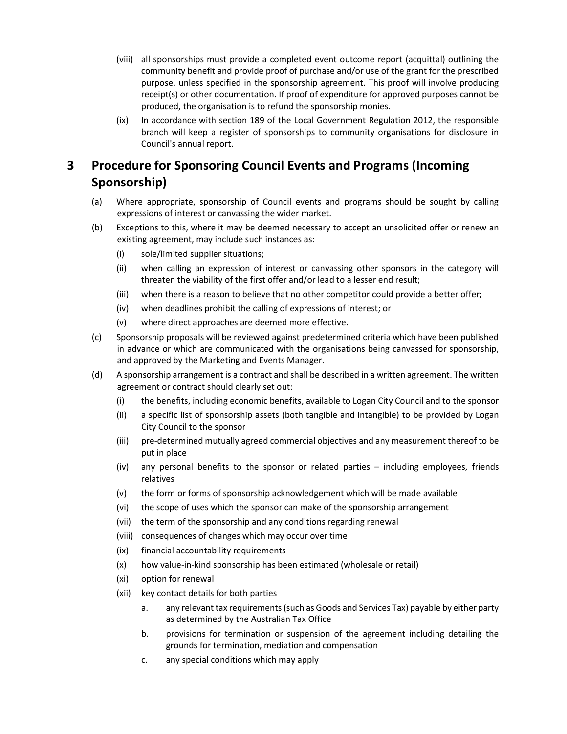- <span id="page-3-0"></span> (viii) all sponsorships must provide a completed event outcome report (acquittal) outlining the community benefit and provide proof of purchase and/or use of the grant for the prescribed purpose, unless specified in the sponsorship agreement. This proof will involve producing receipt(s) or other documentation. If proof of expenditure for approved purposes cannot be produced, the organisation is to refund the sponsorship monies.
- (ix) In accordance with section 189 of the Local Government Regulation 2012, the responsible branch will keep a register of sponsorships to community organisations for disclosure in Council's annual report.

#### Procedure for Sponsoring Council Events and Programs (Incoming 3 Sponsorship)

- (a) Where appropriate, sponsorship of Council events and programs should be sought by calling expressions of interest or canvassing the wider market.
- (b) Exceptions to this, where it may be deemed necessary to accept an unsolicited offer or renew an existing agreement, may include such instances as:
	- (i) sole/limited supplier situations;
	- (ii) when calling an expression of interest or canvassing other sponsors in the category will threaten the viability of the first offer and/or lead to a lesser end result;
	- (iii) when there is a reason to believe that no other competitor could provide a better offer;
	- (iv) when deadlines prohibit the calling of expressions of interest; or
	- (v) where direct approaches are deemed more effective.
- (c) Sponsorship proposals will be reviewed against predetermined criteria which have been published in advance or which are communicated with the organisations being canvassed for sponsorship, and approved by the Marketing and Events Manager.
- (d) A sponsorship arrangement is a contract and shall be described in a written agreement. The written agreement or contract should clearly set out:
	- (i) the benefits, including economic benefits, available to Logan City Council and to the sponsor
	- (ii) a specific list of sponsorship assets (both tangible and intangible) to be provided by Logan City Council to the sponsor
	- (iii) pre-determined mutually agreed commercial objectives and any measurement thereof to be put in place
	- (iv) any personal benefits to the sponsor or related parties including employees, friends relatives
	- (v) the form or forms of sponsorship acknowledgement which will be made available
	- (vi) the scope of uses which the sponsor can make of the sponsorship arrangement
	- (vii) the term of the sponsorship and any conditions regarding renewal
	- (viii) consequences of changes which may occur over time
	- (ix) financial accountability requirements
	- (x) how value-in-kind sponsorship has been estimated (wholesale or retail)
	- (xi) option for renewal
	- (xii) key contact details for both parties
		- a. any relevant tax requirements(such as Goods and Services Tax) payable by either party as determined by the Australian Tax Office
		- b. provisions for termination or suspension of the agreement including detailing the grounds for termination, mediation and compensation
		- c. any special conditions which may apply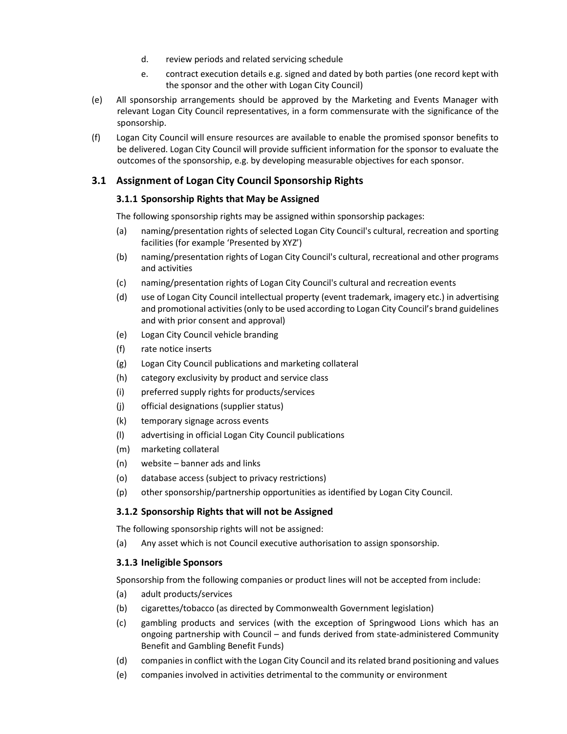- d. review periods and related servicing schedule
- e. contract execution details e.g. signed and dated by both parties (one record kept with the sponsor and the other with Logan City Council)
- <span id="page-4-0"></span> (e) All sponsorship arrangements should be approved by the Marketing and Events Manager with relevant Logan City Council representatives, in a form commensurate with the significance of the sponsorship.
- (f) Logan City Council will ensure resources are available to enable the promised sponsor benefits to be delivered. Logan City Council will provide sufficient information for the sponsor to evaluate the outcomes of the sponsorship, e.g. by developing measurable objectives for each sponsor.

#### 3.1 Assignment of Logan City Council Sponsorship Rights

#### 3.1.1 Sponsorship Rights that May be Assigned

The following sponsorship rights may be assigned within sponsorship packages:

- (a) naming/presentation rights of selected Logan City Council's cultural, recreation and sporting facilities (for example 'Presented by XYZ')
- (b) naming/presentation rights of Logan City Council's cultural, recreational and other programs and activities
- (c) naming/presentation rights of Logan City Council's cultural and recreation events
- (d) use of Logan City Council intellectual property (event trademark, imagery etc.) in advertising and promotional activities (only to be used according to Logan City Council's brand guidelines and with prior consent and approval)
- (e) Logan City Council vehicle branding
- (f) rate notice inserts
- (g) Logan City Council publications and marketing collateral
- (h) category exclusivity by product and service class
- (i) preferred supply rights for products/services
- (j) official designations (supplier status)
- (k) temporary signage across events
- (l) advertising in official Logan City Council publications
- (m) marketing collateral
- (n) website banner ads and links
- (o) database access (subject to privacy restrictions)
- (p) other sponsorship/partnership opportunities as identified by Logan City Council.

#### 3.1.2 Sponsorship Rights that will not be Assigned

The following sponsorship rights will not be assigned:

(a) Any asset which is not Council executive authorisation to assign sponsorship.

#### 3.1.3 Ineligible Sponsors

Sponsorship from the following companies or product lines will not be accepted from include:

- (a) adult products/services
- (b) cigarettes/tobacco (as directed by Commonwealth Government legislation)
- (c) gambling products and services (with the exception of Springwood Lions which has an ongoing partnership with Council – and funds derived from state-administered Community Benefit and Gambling Benefit Funds)
- (d) companiesin conflict with the Logan City Council and its related brand positioning and values
- (e) companies involved in activities detrimental to the community or environment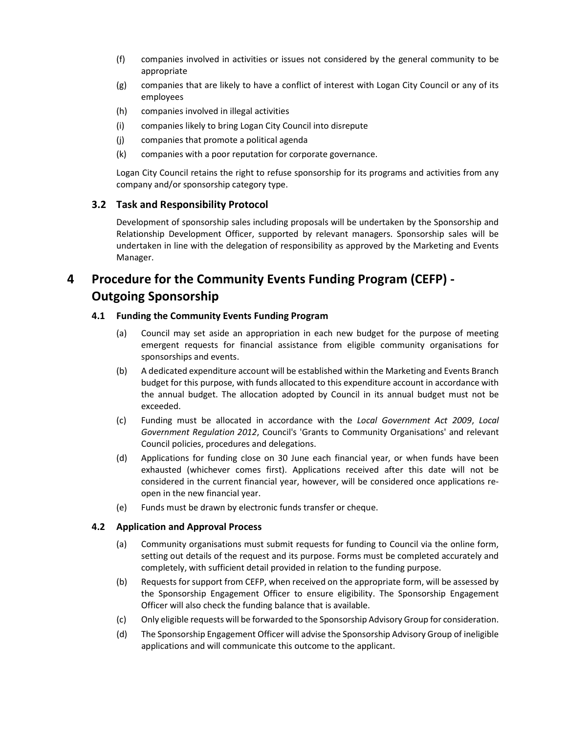- <span id="page-5-0"></span> (f) companies involved in activities or issues not considered by the general community to be appropriate
- (g) companies that are likely to have a conflict of interest with Logan City Council or any of its employees
- (h) companies involved in illegal activities
- (i) companies likely to bring Logan City Council into disrepute
- (j) companies that promote a political agenda
- (k) companies with a poor reputation for corporate governance.

 Logan City Council retains the right to refuse sponsorship for its programs and activities from any company and/or sponsorship category type.

#### 3.2 Task and Responsibility Protocol

 Development of sponsorship sales including proposals will be undertaken by the Sponsorship and Relationship Development Officer, supported by relevant managers. Sponsorship sales will be undertaken in line with the delegation of responsibility as approved by the Marketing and Events Manager.

# 4 Procedure for the Community Events Funding Program (CEFP) - Outgoing Sponsorship

#### 4.1 Funding the Community Events Funding Program

- (a) Council may set aside an appropriation in each new budget for the purpose of meeting emergent requests for financial assistance from eligible community organisations for sponsorships and events.
- (b) A dedicated expenditure account will be established within the Marketing and Events Branch budget for this purpose, with funds allocated to this expenditure account in accordance with the annual budget. The allocation adopted by Council in its annual budget must not be exceeded.
- (c) Funding must be allocated in accordance with the Local Government Act 2009, Local Government Regulation 2012, Council's 'Grants to Community Organisations' and relevant Council policies, procedures and delegations.
- (d) Applications for funding close on 30 June each financial year, or when funds have been exhausted (whichever comes first). Applications received after this date will not be considered in the current financial year, however, will be considered once applications reopen in the new financial year.
- (e) Funds must be drawn by electronic funds transfer or cheque.

#### 4.2 Application and Approval Process

- (a) Community organisations must submit requests for funding to Council via the online form, setting out details of the request and its purpose. Forms must be completed accurately and completely, with sufficient detail provided in relation to the funding purpose.
- (b) Requests for support from CEFP, when received on the appropriate form, will be assessed by the Sponsorship Engagement Officer to ensure eligibility. The Sponsorship Engagement Officer will also check the funding balance that is available.
- (c) Only eligible requests will be forwarded to the Sponsorship Advisory Group for consideration.
- (d) The Sponsorship Engagement Officer will advise the Sponsorship Advisory Group of ineligible applications and will communicate this outcome to the applicant.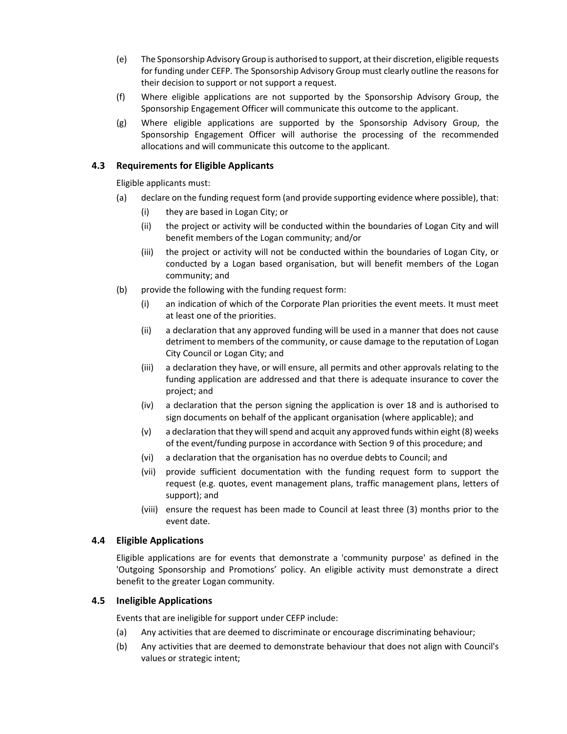- <span id="page-6-0"></span> (e) The Sponsorship Advisory Group is authorised to support, at their discretion, eligible requests for funding under CEFP. The Sponsorship Advisory Group must clearly outline the reasons for their decision to support or not support a request.
- (f) Where eligible applications are not supported by the Sponsorship Advisory Group, the Sponsorship Engagement Officer will communicate this outcome to the applicant.
- (g) Where eligible applications are supported by the Sponsorship Advisory Group, the Sponsorship Engagement Officer will authorise the processing of the recommended allocations and will communicate this outcome to the applicant.

#### 4.3 Requirements for Eligible Applicants

Eligible applicants must:

- (a) declare on the funding request form (and provide supporting evidence where possible), that:
	- (i) they are based in Logan City; or
	- (ii) the project or activity will be conducted within the boundaries of Logan City and will benefit members of the Logan community; and/or
	- conducted by a Logan based organisation, but will benefit members of the Logan community; and (iii) the project or activity will not be conducted within the boundaries of Logan City, or
- (b) provide the following with the funding request form:
	- (i) an indication of which of the Corporate Plan priorities the event meets. It must meet at least one of the priorities.
	- (ii) a declaration that any approved funding will be used in a manner that does not cause detriment to members of the community, or cause damage to the reputation of Logan City Council or Logan City; and
	- (iii) a declaration they have, or will ensure, all permits and other approvals relating to the funding application are addressed and that there is adequate insurance to cover the project; and
	- (iv) a declaration that the person signing the application is over 18 and is authorised to sign documents on behalf of the applicant organisation (where applicable); and
	- of the event/funding purpose in accordance with Section 9 of this procedure; and (v) a declaration that they willspend and acquit any approved funds within eight (8) weeks
	- (vi) a declaration that the organisation has no overdue debts to Council; and
	- (vii) provide sufficient documentation with the funding request form to support the request (e.g. quotes, event management plans, traffic management plans, letters of support); and
	- (viii) ensure the request has been made to Council at least three (3) months prior to the event date.

#### 4.4 Eligible Applications

 Eligible applications are for events that demonstrate a 'community purpose' as defined in the 'Outgoing Sponsorship and Promotions' policy. An eligible activity must demonstrate a direct benefit to the greater Logan community.

#### 4.5 Ineligible Applications

Events that are ineligible for support under CEFP include:

- (a) Any activities that are deemed to discriminate or encourage discriminating behaviour;
- (b) Any activities that are deemed to demonstrate behaviour that does not align with Council's values or strategic intent;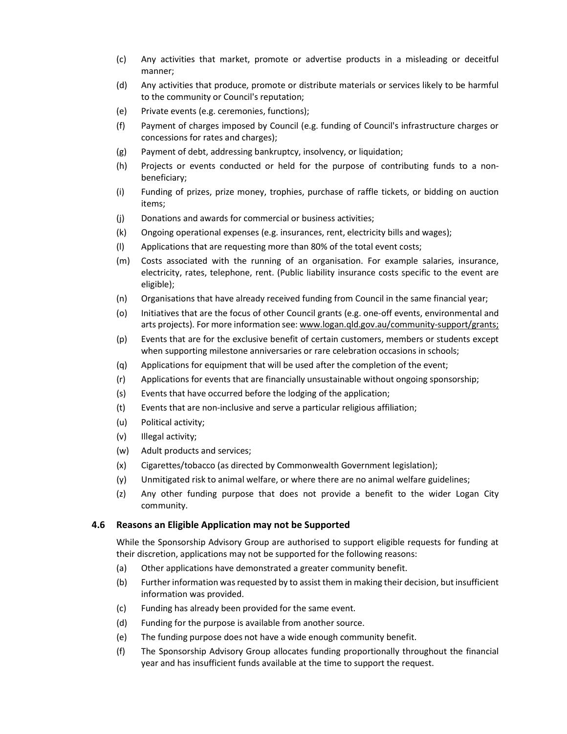- <span id="page-7-0"></span> (c) Any activities that market, promote or advertise products in a misleading or deceitful manner;
- (d) Any activities that produce, promote or distribute materials or services likely to be harmful to the community or Council's reputation;
- (e) Private events (e.g. ceremonies, functions);
- (f) Payment of charges imposed by Council (e.g. funding of Council's infrastructure charges or concessions for rates and charges);
- (g) Payment of debt, addressing bankruptcy, insolvency, or liquidation;
- (h) Projects or events conducted or held for the purpose of contributing funds to a nonbeneficiary;
- (i) Funding of prizes, prize money, trophies, purchase of raffle tickets, or bidding on auction items;
- (j) Donations and awards for commercial or business activities;
- (k) Ongoing operational expenses (e.g. insurances, rent, electricity bills and wages);
- (l) Applications that are requesting more than 80% of the total event costs;
- (m) Costs associated with the running of an organisation. For example salaries, insurance, electricity, rates, telephone, rent. (Public liability insurance costs specific to the event are eligible);
- (n) Organisations that have already received funding from Council in the same financial year;
- (o) Initiatives that are the focus of other Council grants (e.g. one-off events, environmental and arts projects). For more information see: [www.logan.qld.gov.au/community-support/grants;](www.logan.qld.gov.au/community-support/grants)
- (p) Events that are for the exclusive benefit of certain customers, members or students except when supporting milestone anniversaries or rare celebration occasions in schools;
- (q) Applications for equipment that will be used after the completion of the event;
- (r) Applications for events that are financially unsustainable without ongoing sponsorship;
- (s) Events that have occurred before the lodging of the application;
- (t) Events that are non-inclusive and serve a particular religious affiliation;
- (u) Political activity;
- (v) Illegal activity;
- (w) Adult products and services;
- (x) Cigarettes/tobacco (as directed by Commonwealth Government legislation);
- (y) Unmitigated risk to animal welfare, or where there are no animal welfare guidelines;
- (z) Any other funding purpose that does not provide a benefit to the wider Logan City community.

#### 4.6 Reasons an Eligible Application may not be Supported

 While the Sponsorship Advisory Group are authorised to support eligible requests for funding at their discretion, applications may not be supported for the following reasons:

- (a) Other applications have demonstrated a greater community benefit.
- (b) Further information wasrequested by to assist them in making their decision, but insufficient information was provided.
- (c) Funding has already been provided for the same event.
- (d) Funding for the purpose is available from another source.
- (e) The funding purpose does not have a wide enough community benefit.
- (f) The Sponsorship Advisory Group allocates funding proportionally throughout the financial year and has insufficient funds available at the time to support the request.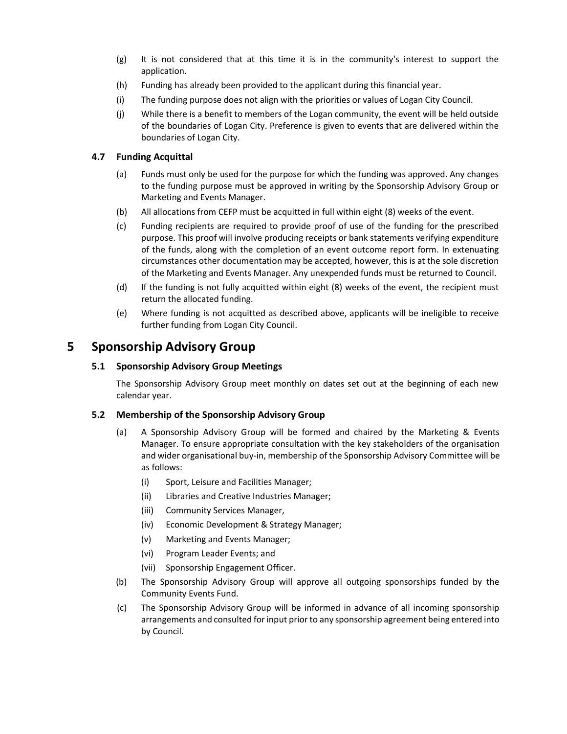- <span id="page-8-0"></span>(g) It is not considered that at this time it is in the community's interest to support the application.
- (h) Funding has already been provided to the applicant during this financial year.
- (i) The funding purpose does not align with the priorities or values of Logan City Council.
- (j) While there is a benefit to members of the Logan community, the event will be held outside of the boundaries of Logan City. Preference is given to events that are delivered within the boundaries of Logan City.

#### 4.7 Funding Acquittal

- (a) Funds must only be used for the purpose for which the funding was approved. Any changes to the funding purpose must be approved in writing by the Sponsorship Advisory Group or Marketing and Events Manager.
- (b) All allocations from CEFP must be acquitted in full within eight (8) weeks of the event.
- (c) Funding recipients are required to provide proof of use of the funding for the prescribed purpose. This proof will involve producing receipts or bank statements verifying expenditure of the funds, along with the completion of an event outcome report form. In extenuating circumstances other documentation may be accepted, however, this is at the sole discretion of the Marketing and Events Manager. Any unexpended funds must be returned to Council.
- (d) If the funding is not fully acquitted within eight (8) weeks of the event, the recipient must return the allocated funding.
- (e) Where funding is not acquitted as described above, applicants will be ineligible to receive further funding from Logan City Council.

### 5 Sponsorship Advisory Group

#### 5.1 Sponsorship Advisory Group Meetings

The Sponsorship Advisory Group meet monthly on dates set out at the beginning of each new calendar year.

#### 5.2 Membership of the Sponsorship Advisory Group

- (a) A Sponsorship Advisory Group will be formed and chaired by the Marketing & Events Manager. To ensure appropriate consultation with the key stakeholders of the organisation and wider organisational buy-in, membership of the Sponsorship Advisory Committee will be as follows:
	- (i) Sport, Leisure and Facilities Manager;
	- (ii) Libraries and Creative Industries Manager;
	- (iii) Community Services Manager,
	- (iv) Economic Development & Strategy Manager;
	- (v) Marketing and Events Manager;
	- (vi) Program Leader Events; and
	- (vii) Sponsorship Engagement Officer.
- (b) The Sponsorship Advisory Group will approve all outgoing sponsorships funded by the Community Events Fund.
- (c) The Sponsorship Advisory Group will be informed in advance of all incoming sponsorship arrangements and consulted forinput prior to any sponsorship agreement being entered into by Council.